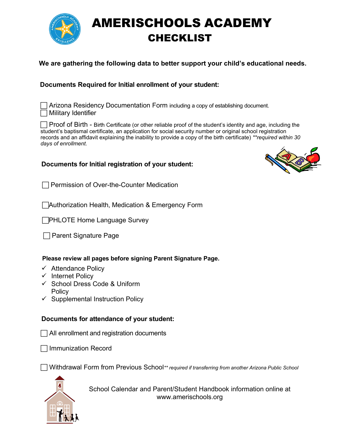

# AMERISCHOOLS ACADEMY CHECKLIST

### **We are gathering the following data to better support your child's educational needs.**

### **Documents Required for Initial enrollment of your student:**

 Arizona Residency Documentation Form including a copy of establishing document. Military Identifier

 $\Box$  Proof of Birth - Birth Certificate (or other reliable proof of the student's identity and age, including the student's baptismal certificate, an application for social security number or original school registration records and an affidavit explaining the inability to provide a copy of the birth certificate) *\*\*required within 30 days of enrollment.*

### **Documents for Initial registration of your student:**

 $\Box$  Permission of Over-the-Counter Medication

Authorization Health, Medication & Emergency Form

**PHLOTE Home Language Survey** 

 $\Box$  Parent Signature Page

### **Please review all pages before signing Parent Signature Page.**

- $\checkmark$  Attendance Policy
- $\checkmark$  Internet Policy
- School Dress Code & Uniform **Policy**
- $\checkmark$  Supplemental Instruction Policy

### **Documents for attendance of your student:**

 $\Box$  All enrollment and registration documents

Immunization Record

Withdrawal Form from Previous School*\*\* required if transferring from another Arizona Public School*



School Calendar and Parent/Student Handbook information online at www.amerischools.org

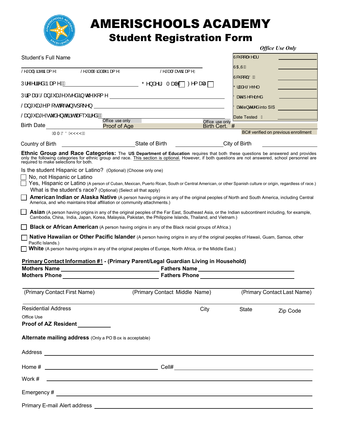

# AMERISCHOOLS ACADEMY

# Student Registration Form

|                                       |                                                                                                                                                                                                                                |                                                                                                                                                                                                                                                                |                                  | <b>Office Use Only</b>              |
|---------------------------------------|--------------------------------------------------------------------------------------------------------------------------------------------------------------------------------------------------------------------------------|----------------------------------------------------------------------------------------------------------------------------------------------------------------------------------------------------------------------------------------------------------------|----------------------------------|-------------------------------------|
| Student's Full Name                   |                                                                                                                                                                                                                                |                                                                                                                                                                                                                                                                | U&@[ AY^æ}                       |                                     |
|                                       | Š^*ækk@deverké vápadné vápadné vápadné vápadné vápadné vápadné vápadné vápadné vápadné vápadné vápadné vápadné vápadné vápadné vápadné vápadné vápadné vápadné vápadné vápadné vápadné vápadné vápadné vápadné vápadné vápadné | Š^*æk)Šæd¢pæ(^Á                                                                                                                                                                                                                                                | IÙOEOÙÁÀ                         |                                     |
|                                       |                                                                                                                                                                                                                                |                                                                                                                                                                                                                                                                | Ù&Q2 [ ÁOÖÁÀ                     |                                     |
|                                       |                                                                                                                                                                                                                                | Ú¦^ <i>^</i> ¦¦^åÁpa{^Á <u>Ӂ</u> __________________________ Õ^}å^¦ÁTa¢^ÁヿØ^{a¢e ∏                                                                                                                                                                              | 0   æå^ ÆÑ^ ç^                   |                                     |
|                                       |                                                                                                                                                                                                                                |                                                                                                                                                                                                                                                                | Öær ÄJ^&^ã^å                     |                                     |
|                                       |                                                                                                                                                                                                                                |                                                                                                                                                                                                                                                                | Oze A e c' $\wedge$ à into SIS   |                                     |
| Šæ}*`æ*^Ác å^}oÁaî∙oÁæ&``ā^åÁÁÁ       |                                                                                                                                                                                                                                | $\overline{O}$ office use only                                                                                                                                                                                                                                 | Date Tested A                    |                                     |
|                                       | <b>Birth Date Example 2018 Proof of Age</b>                                                                                                                                                                                    |                                                                                                                                                                                                                                                                | Office use only<br>Birth Cert. # |                                     |
| <b>CIT EDÖEYYYYDA</b>                 |                                                                                                                                                                                                                                |                                                                                                                                                                                                                                                                |                                  | BC# verified on previous enrollment |
|                                       |                                                                                                                                                                                                                                |                                                                                                                                                                                                                                                                | City of Birth                    |                                     |
| required to make selections for both. |                                                                                                                                                                                                                                | Ethnic Group and Race Categories: The US Department of Education requires that both these questions be answered and provides only the following categories for ethnic group and race. This section is optional. However, if bo                                 |                                  |                                     |
| No, not Hispanic or Latino            | Is the student Hispanic or Latino? (Optional) (Choose only one)                                                                                                                                                                | Yes, Hispanic or Latino (A person of Cuban, Mexican, Puerto Rican, South or Central American, or other Spanish culture or origin, regardless of race.)                                                                                                         |                                  |                                     |
|                                       | What is the student's race? (Optional) (Select all that apply)<br>America, and who maintains tribal affiliation or community attachments.)                                                                                     | American Indian or Alaska Native (A person having origins in any of the original peoples of North and South America, including Central                                                                                                                         |                                  |                                     |
|                                       |                                                                                                                                                                                                                                | Asian (A person having origins in any of the original peoples of the Far East, Southeast Asia, or the Indian subcontinent including, for example,<br>Cambodia, China, India, Japan, Korea, Malaysia, Pakistan, the Philippine Islands, Thailand, and Vietnam.) |                                  |                                     |
|                                       |                                                                                                                                                                                                                                | <b>Black or African American</b> (A person having origins in any of the Black racial groups of Africa.)                                                                                                                                                        |                                  |                                     |
|                                       |                                                                                                                                                                                                                                | Native Hawaiian or Other Pacific Islander (A person having origins in any of the original peoples of Hawaii, Guam, Samoa, other                                                                                                                                |                                  |                                     |
| Pacific Islands.)                     |                                                                                                                                                                                                                                | White (A person having origins in any of the original peoples of Europe, North Africa, or the Middle East.)                                                                                                                                                    |                                  |                                     |
|                                       |                                                                                                                                                                                                                                |                                                                                                                                                                                                                                                                |                                  |                                     |
|                                       |                                                                                                                                                                                                                                | Primary Contact Information #1 - (Primary Parent/Legal Guardian Living in Household)                                                                                                                                                                           |                                  |                                     |
|                                       |                                                                                                                                                                                                                                |                                                                                                                                                                                                                                                                |                                  |                                     |
|                                       |                                                                                                                                                                                                                                |                                                                                                                                                                                                                                                                |                                  |                                     |
|                                       |                                                                                                                                                                                                                                | (Primary Contact First Name) (Primary Contact Middle Name)                                                                                                                                                                                                     |                                  | (Primary Contact Last Name)         |
| <b>Residential Address</b>            |                                                                                                                                                                                                                                | City                                                                                                                                                                                                                                                           | <b>State</b>                     | Zip Code                            |
| Office Use<br>Proof of AZ Resident    |                                                                                                                                                                                                                                |                                                                                                                                                                                                                                                                |                                  |                                     |
|                                       |                                                                                                                                                                                                                                |                                                                                                                                                                                                                                                                |                                  |                                     |
|                                       | Alternate mailing address (Only a PO B ox is acceptable)                                                                                                                                                                       |                                                                                                                                                                                                                                                                |                                  |                                     |
|                                       |                                                                                                                                                                                                                                |                                                                                                                                                                                                                                                                |                                  |                                     |
|                                       |                                                                                                                                                                                                                                |                                                                                                                                                                                                                                                                |                                  |                                     |
| Work #                                |                                                                                                                                                                                                                                | <u> 1990 - Johann Stoff, amerikansk politiker (* 1900)</u>                                                                                                                                                                                                     |                                  |                                     |
|                                       |                                                                                                                                                                                                                                |                                                                                                                                                                                                                                                                |                                  |                                     |
|                                       |                                                                                                                                                                                                                                |                                                                                                                                                                                                                                                                |                                  |                                     |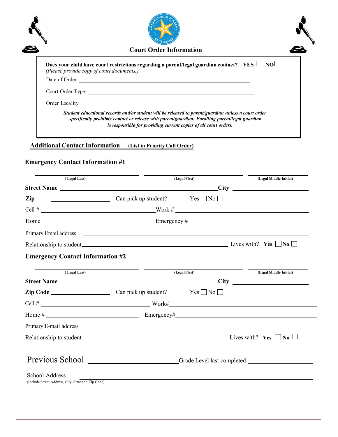|                   | <b>Court Order Information</b>                                                                                                                       |
|-------------------|------------------------------------------------------------------------------------------------------------------------------------------------------|
|                   | Does your child have court restrictions regarding a parent/legal guardian contact? YES $\Box$ NO $\Box$<br>(Please provide copy of court documents.) |
|                   | Date of Order:                                                                                                                                       |
| Court Order Type: |                                                                                                                                                      |
|                   |                                                                                                                                                      |
|                   | Student educational records and/or student will be released to parent/guardian unless a court order                                                  |

# **Additional Contact Information – (List in Priority Call Order)**

# **Emergency Contact Information #1**

| (Legal Last)                                       |                                                                                                                                                                                                                                   | (Legal First) | (Legal Middle Initial) |
|----------------------------------------------------|-----------------------------------------------------------------------------------------------------------------------------------------------------------------------------------------------------------------------------------|---------------|------------------------|
|                                                    |                                                                                                                                                                                                                                   |               |                        |
| Zip                                                | $\begin{array}{c}\n\hline\n\end{array}$ Can pick up student? Yes $\Box$ No $\Box$                                                                                                                                                 |               |                        |
|                                                    |                                                                                                                                                                                                                                   |               |                        |
| Home                                               | $\frac{1}{2}$ Emergency # $\frac{1}{2}$ Emergency # $\frac{1}{2}$ Emergency + $\frac{1}{2}$ Emergency + $\frac{1}{2}$ Emergency + $\frac{1}{2}$                                                                                   |               |                        |
|                                                    |                                                                                                                                                                                                                                   |               |                        |
|                                                    | Relationship to student $\Box$ No $\Box$                                                                                                                                                                                          |               |                        |
| <b>Emergency Contact Information #2</b>            |                                                                                                                                                                                                                                   |               |                        |
| (Legal Last)                                       |                                                                                                                                                                                                                                   | (Legal First) | (Legal Middle Initial) |
|                                                    |                                                                                                                                                                                                                                   |               |                        |
|                                                    |                                                                                                                                                                                                                                   |               |                        |
|                                                    | Cell # $\frac{1}{2}$ Work # Work # Work # 2 Work # 2 Work # 2 Work # 2 Work # 2 Work # 2 Work # 2 Work # 2 Work # 2 Work # 2 Work # 2 Work # 2 Work # 2 Work # 2 Work # 2 Work # 2 Work # 2 Work # 2 Work # 2 Work # 2 Work # 2 W |               |                        |
|                                                    |                                                                                                                                                                                                                                   |               |                        |
| Primary E-mail address                             | <u> 1980 - Johann Stoff, amerikansk politiker (d. 1980)</u>                                                                                                                                                                       |               |                        |
|                                                    |                                                                                                                                                                                                                                   |               |                        |
|                                                    |                                                                                                                                                                                                                                   |               |                        |
|                                                    | Previous School ___________________________Grade Level last completed ___________                                                                                                                                                 |               |                        |
| School Address                                     |                                                                                                                                                                                                                                   |               |                        |
| (Include Street Address, City, State and Zip Code) |                                                                                                                                                                                                                                   |               |                        |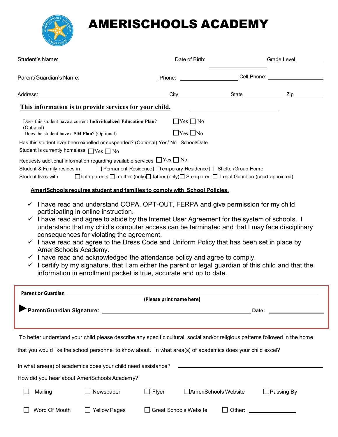

# AMERISCHOOLS ACADEMY

| Student's Name: Date of Birth:                                                                                                                                                                                                                                                                                                                                                                                                                                                                                                                                                                                                                                                                                                                                                                                     |                                                                                                                                                                                              |                                               | Grade Level       |
|--------------------------------------------------------------------------------------------------------------------------------------------------------------------------------------------------------------------------------------------------------------------------------------------------------------------------------------------------------------------------------------------------------------------------------------------------------------------------------------------------------------------------------------------------------------------------------------------------------------------------------------------------------------------------------------------------------------------------------------------------------------------------------------------------------------------|----------------------------------------------------------------------------------------------------------------------------------------------------------------------------------------------|-----------------------------------------------|-------------------|
|                                                                                                                                                                                                                                                                                                                                                                                                                                                                                                                                                                                                                                                                                                                                                                                                                    |                                                                                                                                                                                              |                                               |                   |
|                                                                                                                                                                                                                                                                                                                                                                                                                                                                                                                                                                                                                                                                                                                                                                                                                    |                                                                                                                                                                                              |                                               |                   |
| This information is to provide services for your child.                                                                                                                                                                                                                                                                                                                                                                                                                                                                                                                                                                                                                                                                                                                                                            |                                                                                                                                                                                              |                                               |                   |
| Does this student have a current Individualized Education Plan?<br>(Optional)<br>Does the student have a 504 Plan? (Optional)<br>Has this student ever been expelled or suspended? (Optional) Yes/ No School/Date<br>Student is currently homeless $\Box$ Yes $\Box$ No<br>Requests additional information regarding available services $\Box$ Yes $\Box$ No                                                                                                                                                                                                                                                                                                                                                                                                                                                       | $\Box$ Yes $\Box$ No<br>$\Box$ Yes $\Box$ No                                                                                                                                                 |                                               |                   |
| Student & Family resides in<br>Student lives with                                                                                                                                                                                                                                                                                                                                                                                                                                                                                                                                                                                                                                                                                                                                                                  | □ Permanent Residence □ Temporary Residence □ Shelter/Group Home<br>$\Box$ both parents $\Box$ mother (only) $\Box$ father (only) $\Box$ Step-parent $\Box$ Legal Guardian (court appointed) |                                               |                   |
| AmeriSchools requires student and families to comply with School Policies.                                                                                                                                                                                                                                                                                                                                                                                                                                                                                                                                                                                                                                                                                                                                         |                                                                                                                                                                                              |                                               |                   |
| $\checkmark$ I have read and understand COPA, OPT-OUT, FERPA and give permission for my child<br>participating in online instruction.<br>$\checkmark$ I have read and agree to abide by the Internet User Agreement for the system of schools. I<br>understand that my child's computer access can be terminated and that I may face disciplinary<br>consequences for violating the agreement.<br>$\checkmark$ I have read and agree to the Dress Code and Uniform Policy that has been set in place by<br>AmeriSchools Academy.<br>$\checkmark$ I have read and acknowledged the attendance policy and agree to comply.<br>$\checkmark$ I certify by my signature, that I am either the parent or legal guardian of this child and that the<br>information in enrollment packet is true, accurate and up to date. |                                                                                                                                                                                              |                                               |                   |
| <b>Parent or Guardian <i>Parent Community</i></b>                                                                                                                                                                                                                                                                                                                                                                                                                                                                                                                                                                                                                                                                                                                                                                  |                                                                                                                                                                                              |                                               |                   |
|                                                                                                                                                                                                                                                                                                                                                                                                                                                                                                                                                                                                                                                                                                                                                                                                                    | (Please print name here)                                                                                                                                                                     |                                               | Date:             |
| To better understand your child please describe any specific cultural, social and/or religious patterns followed in the home<br>that you would like the school personnel to know about. In what area(s) of academics does your child excel?                                                                                                                                                                                                                                                                                                                                                                                                                                                                                                                                                                        |                                                                                                                                                                                              |                                               |                   |
| In what area(s) of academics does your child need assistance?                                                                                                                                                                                                                                                                                                                                                                                                                                                                                                                                                                                                                                                                                                                                                      |                                                                                                                                                                                              | <u> 2008 - Andrea Andrew Maria (h. 1878).</u> |                   |
| How did you hear about AmeriSchools Academy?                                                                                                                                                                                                                                                                                                                                                                                                                                                                                                                                                                                                                                                                                                                                                                       |                                                                                                                                                                                              |                                               |                   |
| Newspaper<br>Mailing                                                                                                                                                                                                                                                                                                                                                                                                                                                                                                                                                                                                                                                                                                                                                                                               | $\Box$ Flyer                                                                                                                                                                                 | □ AmeriSchools Website                        | $\Box$ Passing By |
| Word Of Mouth<br><b>Yellow Pages</b>                                                                                                                                                                                                                                                                                                                                                                                                                                                                                                                                                                                                                                                                                                                                                                               | <b>Great Schools Website</b>                                                                                                                                                                 |                                               |                   |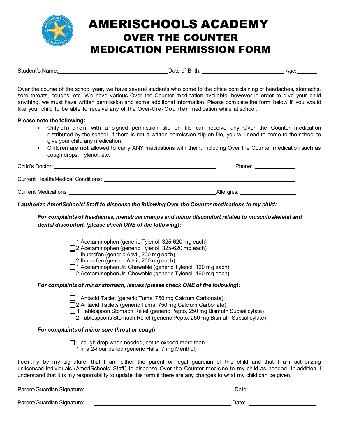

# AMERISCHOOLS ACADEMY OVER THE COUNTER MEDICATION PERMISSION FORM

| Student's Name: | Jate of I<br>Birth. | Aae |
|-----------------|---------------------|-----|
|                 |                     |     |

Over the course of the school year, we have several students who come to the office complaining of headaches, stomachs, sore throats, coughs, etc. We have various Over the Counter medication available, however in order to give your child anything, we must have written permission and some additional information. Please complete the form below if you would like your child to be able to receive any of the Over-the-Counter medication while at school.

### **Please note the following:**

- Only children with a signed permission slip on file can receive any Over the Counter medication distributed by the school. If there is not a written permission slip on file, you will need to come to the school to give your child any medication.
- Children are **not** allowed to carry ANY medications with them, including Over the Counter medication such as cough drops, Tylenol, etc.

| Child's Doctor:                    | Phone:       |
|------------------------------------|--------------|
| Current Health/Medical Conditions: |              |
| Current Medications:               | Allergies: _ |

### *I authorize AmeriSchools' Staff to dispense the following Over the Counter medications to my child:*

### *For complaints of headaches, menstrual cramps and minor discomfort related to musculoskeletal and dental discomfort, (please check ONE of the following):*

□1 Acetaminophen (generic Tylenol, 325-620 mg each)

 $\Box$ 2 Acetaminophen (generic Tylenol, 325-620 mg each)

 $\Box$ 1 Ibuprofen (generic Advil, 200 mg each)

□2 Ibuprofen (generic Advil, 200 mg each)

□1 Acetaminophen Jr. Chewable (generic Tylenol, 160 mg each)

□ 2 Acetaminophen Jr. Chewable (generic Tylenol, 160 mg each)

### *For complaints of minor stomach, issues (please check ONE of the following):*

□ 1 Antacid Tablet (generic Tums, 750 mg Calcium Carbonate)

□ 2 Antacid Tablets (generic Tums, 750 mg Calcium Carbonate)

□ 1 Tablespoon Stomach Relief (generic Pepto, 250 mg Bismuth Subsalicylate)

□2 Tablespoons Stomach Relief (generic Pepto, 250 mg Bismuth Subsalicylate)

### *For complaints of minor sore throat or cough:*

 $\Box$  1 cough drop when needed, not to exceed more than 1 in a 2-hour period (generic Halls, 7 mg Menthol)

I certify by my signature, that I am either the parent or legal guardian of this child and that I am authorizing unlicensed individuals (AmeriSchools' Staff) to dispense Over the Counter medicine to my child as needed. In addition, I understand that it is my responsibility to update this form if there are any changes to what my child can be given.

Parent/Guardian Signature: Date:

Parent/Guardian Signature: Date: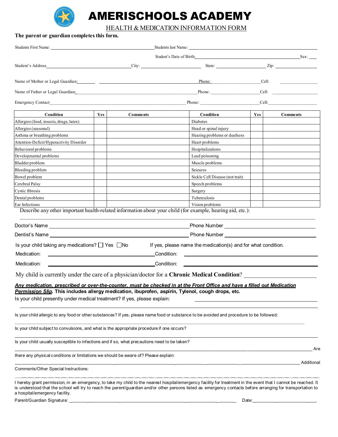

# AMERISCHOOLS ACADEMY

### HEALTH & MEDICATION INFORMATION FORM

| The parent or guardian completes this form.                                                                                                                                                                                    |     |            |                                                                                                                                                                                                                                      |       |                                                                                                                                                                                                                                |
|--------------------------------------------------------------------------------------------------------------------------------------------------------------------------------------------------------------------------------|-----|------------|--------------------------------------------------------------------------------------------------------------------------------------------------------------------------------------------------------------------------------------|-------|--------------------------------------------------------------------------------------------------------------------------------------------------------------------------------------------------------------------------------|
| Students First Name: Name and Students First Name and Students First Name and Students Students and Students Students and Students Students and Students Students and Students Students and Students and Students and Students |     |            |                                                                                                                                                                                                                                      |       |                                                                                                                                                                                                                                |
|                                                                                                                                                                                                                                |     |            | Student's Date of Birth: Student's Date of Birth: Sex:                                                                                                                                                                               |       |                                                                                                                                                                                                                                |
| Student's Address                                                                                                                                                                                                              |     | City:      | State: <u>Zip:</u> Zip:                                                                                                                                                                                                              |       |                                                                                                                                                                                                                                |
|                                                                                                                                                                                                                                |     |            | Phone:                                                                                                                                                                                                                               | Cell: |                                                                                                                                                                                                                                |
| Name of Father or Legal Guardian:                                                                                                                                                                                              |     |            | Phone:                                                                                                                                                                                                                               |       | Cell: The Contract of the Contract of the Contract of the Contract of the Contract of the Contract of the Contract of the Contract of the Contract of the Contract of the Contract of the Contract of the Contract of the Cont |
| <b>Emergency Contact</b>                                                                                                                                                                                                       |     |            |                                                                                                                                                                                                                                      |       | Cell: the contract of the contract of the contract of the contract of the contract of the contract of the contract of the contract of the contract of the contract of the contract of the contract of the contract of the cont |
| Condition                                                                                                                                                                                                                      | Yes | Comments   | Condition                                                                                                                                                                                                                            | Yes   | <b>Comments</b>                                                                                                                                                                                                                |
| Allergies (food, insects, drugs, latex)                                                                                                                                                                                        |     |            | Diabetes                                                                                                                                                                                                                             |       |                                                                                                                                                                                                                                |
| Allergies (seasonal)                                                                                                                                                                                                           |     |            | Head or spinal injury                                                                                                                                                                                                                |       |                                                                                                                                                                                                                                |
| Asthma or breathing problems                                                                                                                                                                                                   |     |            | Hearing problems or deafness                                                                                                                                                                                                         |       |                                                                                                                                                                                                                                |
| Attention-Deficit/Hyperactivity Disorder                                                                                                                                                                                       |     |            | Heart problems                                                                                                                                                                                                                       |       |                                                                                                                                                                                                                                |
| Behavioral problems                                                                                                                                                                                                            |     |            | Hospitalizations                                                                                                                                                                                                                     |       |                                                                                                                                                                                                                                |
| Developmental problems                                                                                                                                                                                                         |     |            | Lead poisoning                                                                                                                                                                                                                       |       |                                                                                                                                                                                                                                |
| Bladder problem                                                                                                                                                                                                                |     |            | Muscle problems                                                                                                                                                                                                                      |       |                                                                                                                                                                                                                                |
| Bleeding problem                                                                                                                                                                                                               |     |            | Seizures                                                                                                                                                                                                                             |       |                                                                                                                                                                                                                                |
| Bowel problem                                                                                                                                                                                                                  |     |            | Sickle Cell Disease (not trait)                                                                                                                                                                                                      |       |                                                                                                                                                                                                                                |
| Cerebral Palsy                                                                                                                                                                                                                 |     |            | Speech problems                                                                                                                                                                                                                      |       |                                                                                                                                                                                                                                |
| Cystic fibrosis                                                                                                                                                                                                                |     |            | Surgery                                                                                                                                                                                                                              |       |                                                                                                                                                                                                                                |
| Dental problems                                                                                                                                                                                                                |     |            | Tuberculosis                                                                                                                                                                                                                         |       |                                                                                                                                                                                                                                |
| Ear Infections                                                                                                                                                                                                                 |     |            | Vision problems                                                                                                                                                                                                                      |       |                                                                                                                                                                                                                                |
|                                                                                                                                                                                                                                |     |            | Describe any other important health-related information about your child (for example, hearing aid, etc.):                                                                                                                           |       |                                                                                                                                                                                                                                |
|                                                                                                                                                                                                                                |     |            | Phone Number <u>example and the set of the set of the set of the set of the set of the set of the set of the set of the set of the set of the set of the set of the set of the set of the set of the set of the set of the set o</u> |       |                                                                                                                                                                                                                                |
|                                                                                                                                                                                                                                |     |            |                                                                                                                                                                                                                                      |       |                                                                                                                                                                                                                                |
| Is your child taking any medications? $\Box$ Yes $\Box$ No                                                                                                                                                                     |     |            | If yes, please name the medication(s) and for what condition.                                                                                                                                                                        |       |                                                                                                                                                                                                                                |
| Medication:                                                                                                                                                                                                                    |     | Condition: |                                                                                                                                                                                                                                      |       |                                                                                                                                                                                                                                |
| Medication:                                                                                                                                                                                                                    |     | Condition: |                                                                                                                                                                                                                                      |       |                                                                                                                                                                                                                                |
|                                                                                                                                                                                                                                |     |            | My child is currently under the care of a physician/doctor for a <b>Chronic Medical Condition</b> ?                                                                                                                                  |       |                                                                                                                                                                                                                                |
|                                                                                                                                                                                                                                |     |            | <u>Any medication, prescribed or over-the-counter, must be checked in at the Front Office and have a filled out Medication</u>                                                                                                       |       |                                                                                                                                                                                                                                |
| Permission Slip. This includes allergy medication, ibuprofen, aspirin, Tylenol, cough drops, etc.                                                                                                                              |     |            |                                                                                                                                                                                                                                      |       |                                                                                                                                                                                                                                |
| Is your child presently under medical treatment? If yes, please explain:                                                                                                                                                       |     |            |                                                                                                                                                                                                                                      |       |                                                                                                                                                                                                                                |
|                                                                                                                                                                                                                                |     |            | Is your child allergic to any food or other substances? If yes, please name food or substance to be avoided and procedure to be followed:                                                                                            |       |                                                                                                                                                                                                                                |
| Is your child subject to convulsions, and what is the appropriate procedure if one occurs?                                                                                                                                     |     |            |                                                                                                                                                                                                                                      |       |                                                                                                                                                                                                                                |
| Is your child usually susceptible to infections and if so, what precautions need to be taken?                                                                                                                                  |     |            |                                                                                                                                                                                                                                      |       |                                                                                                                                                                                                                                |
| there any physical conditions or limitations we should be aware of? Please explain:                                                                                                                                            |     |            |                                                                                                                                                                                                                                      |       | Are                                                                                                                                                                                                                            |
| Comments/Other Special Instructions:                                                                                                                                                                                           |     |            |                                                                                                                                                                                                                                      |       | Additional                                                                                                                                                                                                                     |
|                                                                                                                                                                                                                                |     |            |                                                                                                                                                                                                                                      |       |                                                                                                                                                                                                                                |

I hereby grant permission, in an emergency, to take my child to the nearest hospital/emergency facility for treatment in the event that I cannot be reached. It is understood that the school will try to reach the parent/guardian and/or other persons listed as emergency contacts before arranging for transportation to a hospital/emergency facility. Parent/Guardian Signature: \_ \_ \_ \_ \_ \_ Date:\_ \_ \_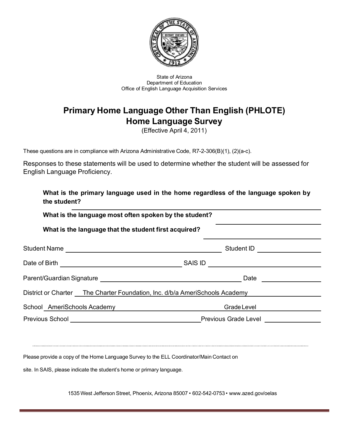

State of Arizona Department of Education Office of English Language Acquisition Services

# **Primary Home Language Other Than English (PHLOTE) Home Language Survey**

(Effective April 4, 2011)

These questions are in compliance with Arizona Administrative Code, R7-2-306(B)(1), (2)(a-c).

Responses to these statements will be used to determine whether the student will be assessed for English Language Proficiency.

| the student?                                                                                 | What is the primary language used in the home regardless of the language spoken by |
|----------------------------------------------------------------------------------------------|------------------------------------------------------------------------------------|
| What is the language most often spoken by the student?                                       |                                                                                    |
| What is the language that the student first acquired?                                        |                                                                                    |
|                                                                                              | Student ID <b>Algebra 2016</b>                                                     |
|                                                                                              | SAIS ID                                                                            |
|                                                                                              | Date                                                                               |
| District or Charter The Charter Foundation, Inc. d/b/a AmeriSchools Academy                  |                                                                                    |
| School AmeriSchools Academy New York Channels Academy                                        | Grade Level                                                                        |
| Previous School <u>example and the set of the set of the Previous Grade Level experience</u> |                                                                                    |

Please provide a copy of the Home Language Survey to the ELL Coordinator/Main Contact on

site. In SAIS, please indicate the student's home or primary language.

1535 West Jefferson Street, Phoenix, Arizona 85007 • 602-542-0753 • [www.azed.gov/oelas](http://www.azed.gov/oelas)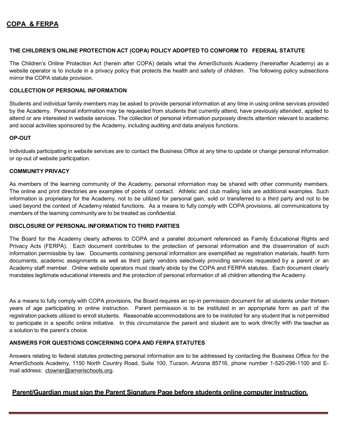### **THE CHILDREN'S ONLINE PROTECTION ACT (COPA) POLICY ADOPTED TO CONFORM TO FEDERAL STATUTE**

The Children's Online Protection Act (herein after COPA) details what the AmeriSchools Academy (hereinafter Academy) as a website operator is to include in a privacy policy that protects the health and safety of children. The following policy subsections mirror the COPA statute provision.

### **COLLECTION OF PERSONAL INFORMATION**

Students and individual family members may be asked to provide personal information at any time in using online services provided by the Academy. Personal information may be requested from students that currently attend, have previously attended, applied to attend or are interested in website services. The collection of personal information purposely directs attention relevant to academic and social activities sponsored by the Academy, including auditing and data analysis functions.

#### **OP-OUT**

Individuals participating in website services are to contact the Business Office at any time to update or change personal information or op-out of website participation.

#### **COMMUNITY PRIVACY**

As members of the learning community of the Academy, personal information may be shared with other community members. The online and print directories are examples of points of contact. Athletic and club mailing lists are additional examples. Such information is proprietary for the Academy, not to be utilized for personal gain, sold or transferred to a third party and not to be used beyond the context of Academy related functions. As a means to fully comply with COPA provisions, all communications by members of the learning community are to be treated as confidential.

### **DISCLOSURE OF PERSONAL INFORMATION TO THIRD PARTIES**

The Board for the Academy clearly adheres to COPA and a parallel document referenced as Family Educational Rights and Privacy Acts (FERPA). Each document contributes to the protection of personal information and the dissemination of such information permissible by law. Documents containing personal information are exemplified as registration materials, health form documents, academic assignments as well as third party vendors selectively providing services requested by a parent or an Academy staff member. Online website operators must clearly abide by the COPA and FERPA statutes. Each document clearly mandates legitimate educational interests and the protection of personal information of all children attending the Academy.

As a means to fully comply with COPA provisions, the Board requires an op-in permission document for all students under thirteen years of age participating in online instruction. Parent permission is to be instituted in an appropriate form as part of the registration packets utilized to enroll students. Reasonable accommodations are to be instituted for any student that is not permitted to participate in a specific online initiative. In this circumstance the parent and student are to work directly with the teacher as a solution to the parent's choice.

### **ANSWERS FOR QUESTIONS CONCERNING COPA AND FERPA STATUTES**

Answers relating to federal statutes protecting personal information are to be addressed by contacting the Business Office for the AmeriSchools Academy, 1150 North Country Road, Suite 100, Tucson, Arizona 85716, phone number 1-520-296-1100 and Email address: [ctowner@amerischools.org.](mailto:ctowner@amerischools.org)

### **Parent/Guardian must sign the Parent Signature Page before students online computer instruction.**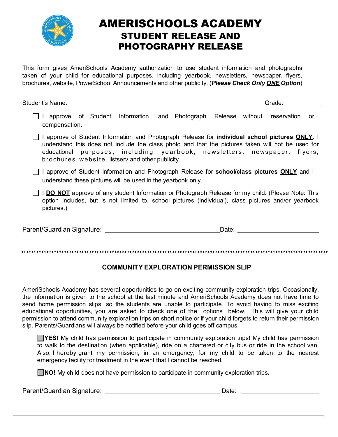

# AMERISCHOOLS ACADEMY STUDENT RELEASE AND PHOTOGRAPHY RELEASE

This form gives AmeriSchools Academy authorization to use student information and photographs taken of your child for educational purposes, including yearbook, newsletters, newspaper, flyers, brochures, website, PowerSchool Announcements and other publicity. (*Please Check Only ONE Option*)

| Student's Name:                                                                                                                                                                                                                |                                                                                                                                                                                                                                                                                                                                               |       | Grade: <b>Called</b> |    |
|--------------------------------------------------------------------------------------------------------------------------------------------------------------------------------------------------------------------------------|-----------------------------------------------------------------------------------------------------------------------------------------------------------------------------------------------------------------------------------------------------------------------------------------------------------------------------------------------|-------|----------------------|----|
| compensation.                                                                                                                                                                                                                  | approve of Student Information and Photograph Release without reservation                                                                                                                                                                                                                                                                     |       |                      | or |
|                                                                                                                                                                                                                                | I approve of Student Information and Photograph Release for <b>individual school pictures ONLY</b> . I<br>understand this does not include the class photo and that the pictures taken will not be used for<br>educational purposes, including yearbook, newsletters, newspaper, flyers,<br>brochures, website, listserv and other publicity. |       |                      |    |
|                                                                                                                                                                                                                                | I approve of Student Information and Photograph Release for school/class pictures ONLY and I<br>understand these pictures will be used in the yearbook only.                                                                                                                                                                                  |       |                      |    |
| pictures.)                                                                                                                                                                                                                     | I DO NOT approve of any student Information or Photograph Release for my child. (Please Note: This<br>option includes, but is not limited to, school pictures (individual), class pictures and/or yearbook                                                                                                                                    |       |                      |    |
| Parent/Guardian Signature: Department of the control of the control of the control of the control of the control of the control of the control of the control of the control of the control of the control of the control of t |                                                                                                                                                                                                                                                                                                                                               | Date: |                      |    |

## **COMMUNITY EXPLORATION PERMISSION SLIP**

AmeriSchools Academy has several opportunities to go on exciting community exploration trips. Occasionally, the information is given to the school at the last minute and AmeriSchools Academy does not have time to send home permission slips, so the students are unable to participate. To avoid having to miss exciting educational opportunities, you are asked to check one of the options below. This will give your child permission to attend community exploration trips on short notice or if your child forgets to return their permission slip. Parents/Guardians will always be notified before your child goes off campus.

**TYES!** My child has permission to participate in community exploration trips! My child has permission to walk to the destination (when applicable), ride on a chartered or city bus or ride in the school van. Also, I hereby grant my permission, in an emergency, for my child to be taken to the nearest emergency facility for treatment in the event that I cannot be reached.

**NO!** My child does not have permission to participate in community exploration trips.

Parent/Guardian Signature: 2008 2009 2012 2020 2021 2022 2034 2040 2050 2061 2072 208 209 209 209 209 209 209 20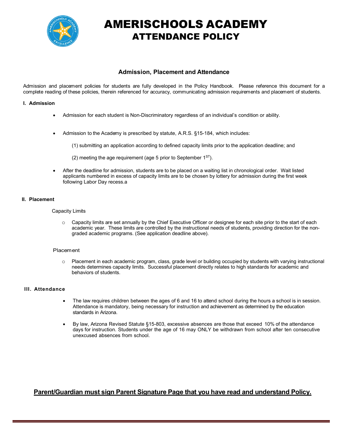

# AMERISCHOOLS ACADEMY ATTENDANCE POLICY

### **Admission, Placement and Attendance**

Admission and placement policies for students are fully developed in the Policy Handbook. Please reference this document for a complete reading of these policies, therein referenced for accuracy, communicating admission requirements and placement of students.

#### **I. Admission**

- Admission for each student is Non-Discriminatory regardless of an individual's condition or ability.
- Admission to the Academy is prescribed by statute, A.R.S. §15-184, which includes:
	- (1) submitting an application according to defined capacity limits prior to the application deadline; and
	- (2) meeting the age requirement (age 5 prior to September  $1^{\text{ST}}$ ).
- After the deadline for admission, students are to be placed on a waiting list in chronological order. Wait listed applicants numbered in excess of capacity limits are to be chosen by lottery for admission during the first week following Labor Day recess.a

#### **II. Placement**

Capacity Limits

o Capacity limits are set annually by the Chief Executive Officer or designee for each site prior to the start of each academic year. These limits are controlled by the instructional needs of students, providing direction for the nongraded academic programs. (See application deadline above).

#### **Placement**

o Placement in each academic program, class, grade level or building occupied by students with varying instructional needs determines capacity limits. Successful placement directly relates to high standards for academic and behaviors of students.

#### **III. Attendance**

- The law requires children between the ages of 6 and 16 to attend school during the hours a school is in session. Attendance is mandatory, being necessary for instruction and achievement as determined by the education standards in Arizona.
- By law, Arizona Revised Statute §15-803, excessive absences are those that exceed 10% of the attendance days for instruction. Students under the age of 16 may ONLY be withdrawn from school after ten consecutive unexcused absences from school.

### **Parent/Guardian must sign Parent Signature Page that you have read and understand Policy.**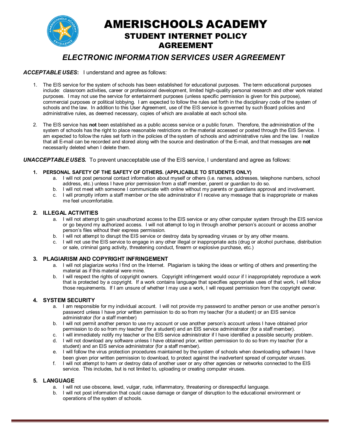AMERISCHOOLS ACADEMY STUDENT INTERNET POLICY AGREEMENT

# *ELECTRONIC INFORMATION SERVICES USER AGREEMENT*

### *ACCEPTABLE USES***:** I understand and agree as follows:

- 1. The EIS service for the system of schools has been established for educational purposes. The term educational purposes include: classroom activities, career or professional development, limited high-quality personal research and other work related purposes. I may not use the service for entertainment purposes (unless specific permission is given for this purpose), commercial purposes or political lobbying. I am expected to follow the rules set forth in the disciplinary code of the system of schools and the law. In addition to this User Agreement, use of the EIS service is governed by such Board policies and administrative rules, as deemed necessary, copies of which are available at each school site.
- 2. The EIS service has **not** been established as a public access service or a public forum. Therefore, the administration of the system of schools has the right to place reasonable restrictions on the material accessed or posted through the EIS Service. I am expected to follow the rules set forth in the policies of the system of schools and administrative rules and the law. I realize that all E-mail can be recorded and stored along with the source and destination of the E-mail, and that messages are **not** necessarily deleted when I delete them.

#### *UNACCEPTABLE USES.* To prevent unacceptable use of the EIS service, I understand and agree as follows:

#### **1. PERSONAL SAFETY OF THE SAFETY OF OTHERS. (APPLICABLE TO STUDENTS ONLY)**

- a. I will not post personal contact information about myself or others (i.e. names, addresses, telephone numbers, school address, etc.) unless I have prior permission from a staff member, parent or guardian to do so.
- b. I will not meet with someone I communicate with online without my parents or guardians approval and involvement.
- c. I will promptly inform a staff member or the site administrator if I receive any message that is inappropriate or makes me feel uncomfortable.

### **2. ILLEGAL ACTIVITIES**

- a. I will not attempt to gain unauthorized access to the EIS service or any other computer system through the EIS service or go beyond my authorized access. I will not attempt to log in through another person's account or access another person's files without their express permission.
- b. I will not attempt to disrupt the EIS service or destroy data by spreading viruses or by any other means.
- c. I will not use the EIS service to engage in any other illegal or inappropriate acts (drug or alcohol purchase, distribution or sale, criminal gang activity, threatening conduct, firearm or explosive purchase, etc.)

### **3. PLAGIARISM AND COPYRIGHT INFRINGEMENT**

- a. I will not plagiarize works I find on the Internet. Plagiarism is taking the ideas or writing of others and presenting the material as if this material were mine.
- b. I will respect the rights of copyright owners. Copyright infringement would occur if I inappropriately reproduce a work that is protected by a copyright. If a work contains language that specifies appropriate uses of that work, I will follow those requirements. If I am unsure of whether I may use a work, I will request permission from the copyright owner.

#### **4. SYSTEM SECURITY**

- a. I am responsible for my individual account. I will not provide my password to another person or use another person's password unless I have prior written permission to do so from my teacher (for a student) or an EIS service administrator (for a staff member)
- b. I will not permit another person to use my account or use another person's account unless I have obtained prior permission to do so from my teacher (for a student) and an EIS service administrator (for a staff member).
- c. I will immediately notify my teacher or the EIS service administrator if I have identified a possible security problem.
- d. I will not download any software unless I have obtained prior, written permission to do so from my teacher (for a student) and an EIS service administrator (for a staff member).
- e. I will follow the virus protection procedures maintained by the system of schools when downloading software I have been given prior written permission to download, to protect against the inadvertent spread of computer viruses.
- f. I will not attempt to harm or destroy data of another user or any other agencies or networks connected to the EIS service. This includes, but is not limited to, uploading or creating computer viruses.

### **5. LANGUAGE**

- a. I will not use obscene, lewd, vulgar, rude, inflammatory, threatening or disrespectful language.
- b. I will not post information that could cause damage or danger of disruption to the educational environment or operations of the system of schools.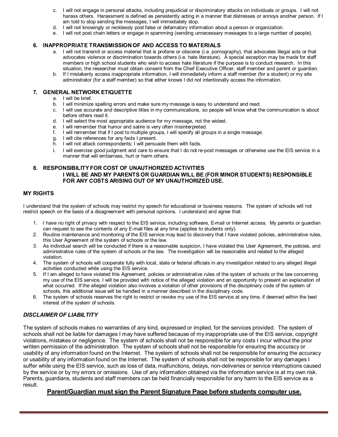- c. I will not engage in personal attacks, including prejudicial or discriminatory attacks on individuals or groups. I will not harass others. Harassment is defined as persistently acting in a manner that distresses or annoys another person. If I am told to stop sending the messages, I will immediately stop.
- d. I will not knowingly or recklessly post false or defamatory information about a person or organization.
- e. I will not post chain letters or engage in spamming (sending unnecessary messages to a large number of people).

#### **6. INAPPROPRIATE TRANSMISSION OF AND ACCESS TO MATERIALS**

- a. I will not transmit or access material that is profane or obscene (i.e. pornography), that advocates illegal acts or that advocates violence or discrimination towards others (i.e. hate literature). A special exception may be made for staff members or high school students who wish to access hate literature if the purpose is to conduct research. In this situation, the researcher must obtain consent from the Chief Executive Officer, staff member and parent or guardian.
- b. If I mistakenly access inappropriate information, I will immediately inform a staff member (for a student) or my site administrator (for a staff member) so that either knows I did not intentionally access the information.

#### **7. GENERAL NETWORK ETIQUETTE**

- a. I will be brief.
- b. I will minimize spelling errors and make sure my message is easy to understand and read.
- c. I will use accurate and descriptive titles in my communications, so people will know what the communication is about before others read it.
- d. I will select the most appropriate audience for my message, not the widest.
- e. I will remember that humor and satire is very often misinterpreted.
- f. I will remember that if I post to multiple groups, I will specify all groups in a single message.
- g. I will cite references for any facts I present.
- h. I will not attack correspondents; I will persuade them with facts.
- i. I will exercise good judgment and care to ensure that I do not re-post messages or otherwise use the EIS service in a manner that will embarrass, hurt or harm others.

#### **8. RESPONSIBILITY FOR COST OF UNAUTHORIZED ACTIVITIES I WILL BE AND MY PARENTS OR GUARDIAN WILL BE (FOR MINOR STUDENTS) RESPONSIBLE FOR ANY COSTS ARISING OUT OF MY UNAUTHORIZED USE.**

#### **MY RIGHTS**

I understand that the system of schools may restrict my speech for educational or business reasons. The system of schools will not restrict speech on the basis of a disagreement with personal opinions. I understand and agree that:

- 1. I have no right of privacy with respect to the EIS service, including software, E-mail or Internet access. My parents or guardian can request to see the contents of any E-mail files at any time (applies to students only).
- 2. Routine maintenance and monitoring of the EIS service may lead to discovery that I have violated policies, administrative rules, this User Agreement of the system of schools or the law.
- 3. As individual search will be conducted if there is a reasonable suspicion, I have violated this User Agreement, the policies, and administrative rules of the system of schools or the law. The investigation will be reasonable and related to the alleged violation.
- 4. The system of schools will cooperate fully with local, state or federal officials in any investigation related to any alleged illegal activities conducted while using the EIS service.
- 5. If I am alleged to have violated this Agreement, policies or administrative rules of the system of schools or the law concerning my use of the EIS service, I will be provided with notice of the alleged violation and an opportunity to present an explanation of what occurred. If the alleged violation also involves a violation of other provisions of the disciplinary code of the system of schools, this additional issue will be handled in a manner described in the disciplinary code.
- 6. The system of schools reserves the right to restrict or revoke my use of the EIS service at any time, if deemed within the best interest of the system of schools.

### *DISCLAIMER OF LIABILTITY*

The system of schools makes no warranties of any kind, expressed or implied, for the services provided. The system of schools shall not be liable for damages I may have suffered because of my inappropriate use of the EIS service, copyright violations, mistakes or negligence. The system of schools shall not be responsible for any costs I incur without the prior written permission of the administration. The system of schools shall not be responsible for ensuring the accuracy or usability of any information found on the Internet. The system of schools shall not be responsible for ensuring the accuracy or usability of any information found on the Internet. The system of schools shall not be responsible for any damages I suffer while using the EIS service, such as loss of data, malfunctions, delays, non-deliveries or service interruptions caused by the service or by my errors or omissions. Use of any information obtained via the information service is at my own risk. Parents, guardians, students and staff members can be held financially responsible for any harm to the EIS service as a result.

### **Parent/Guardian must sign the Parent Signature Page before students computer use.**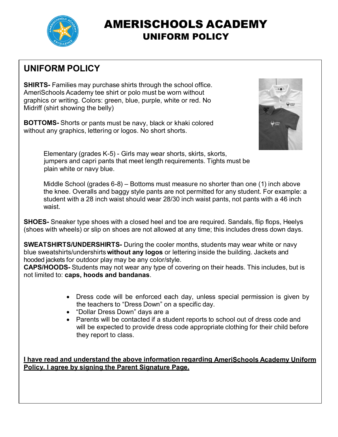

# AMERISCHOOLS ACADEMY UNIFORM POLICY

# **UNIFORM POLICY**

**SHIRTS-** Families may purchase shirts through the school office. AmeriSchools Academy tee shirt or polo must be worn without graphics or writing. Colors: green, blue, purple, white or red. No Midriff (shirt showing the belly)

**BOTTOMS-** Shorts or pants must be navy, black or khaki colored without any graphics, lettering or logos. No short shorts.



Elementary (grades K-5) - Girls may wear shorts, skirts, skorts, jumpers and capri pants that meet length requirements. Tights must be plain white or navy blue.

Middle School (grades 6-8) – Bottoms must measure no shorter than one (1) inch above the knee. Overalls and baggy style pants are not permitted for any student. For example: a student with a 28 inch waist should wear 28/30 inch waist pants, not pants with a 46 inch waist.

**SHOES-** Sneaker type shoes with a closed heel and toe are required. Sandals, flip flops, Heelys (shoes with wheels) or slip on shoes are not allowed at any time; this includes dress down days.

**SWEATSHIRTS/UNDERSHIRTS-** During the cooler months, students may wear white or navy blue sweatshirts/undershirts **without any logos** or lettering inside the building. Jackets and hooded jackets for outdoor play may be any color/style.

**CAPS/HOODS-** Students may not wear any type of covering on their heads. This includes, but is not limited to: **caps, hoods and bandanas**.

- Dress code will be enforced each day, unless special permission is given by the teachers to "Dress Down" on a specific day.
- "Dollar Dress Down" days are a
- Parents will be contacted if a student reports to school out of dress code and will be expected to provide dress code appropriate clothing for their child before they report to class.

**I have read and understand the above information regarding AmeriSchools Academy Uniform Policy. I agree by signing the Parent Signature Page.**